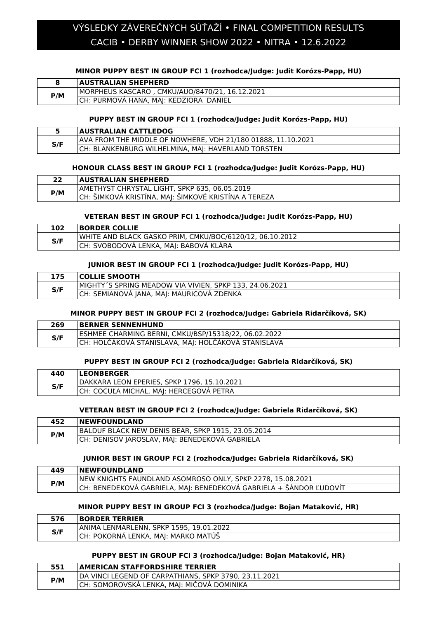# CACIB • DERBY WINNER SHOW 2022 • NITRA • 12.6.2022 VÝSLEDKY ZÁVEREČNÝCH SÚŤAŽÍ • FINAL COMPETITION RESULTS

### **MINOR PUPPY BEST IN GROUP FCI 1 (rozhodca/Judge: Judit Korózs-Papp, HU)**

|     | <b>AUSTRALIAN SHEPHERD</b>                     |
|-----|------------------------------------------------|
| P/M | MORPHEUS KASCARO, CMKU/AUO/8470/21, 16.12.2021 |
|     | CH: PURMOVA HANA, MAJ: KEDZIORA DANIEL         |

### **PUPPY BEST IN GROUP FCI 1 (rozhodca/Judge: Judit Korózs-Papp, HU)**

|     | <b>AUSTRALIAN CATTLEDOG</b>                                  |
|-----|--------------------------------------------------------------|
| S/F | AVA FROM THE MIDDLE OF NOWHERE, VDH 21/180 01888, 11.10.2021 |
|     | CH: BLANKENBURG WILHELMINA, MAJ: HAVERLAND TORSTEN           |

### **HONOUR CLASS BEST IN GROUP FCI 1 (rozhodca/Judge: Judit Korózs-Papp, HU)**

| רר  | <b>AUSTRALIAN SHEPHERD</b>                            |
|-----|-------------------------------------------------------|
| P/M | AMETHYST CHRYSTAL LIGHT, SPKP 635, 06.05.2019         |
|     | ICH: SIMKOVÁ KRISTÍNA, MAJ: ŠIMKOVÉ KRISTÍNA A TEREZA |

### **VETERAN BEST IN GROUP FCI 1 (rozhodca/Judge: Judit Korózs-Papp, HU)**

| LO2 | <b>BORDER COLLIE</b>                                     |
|-----|----------------------------------------------------------|
| S/F | WHITE AND BLACK GASKO PRIM, CMKU/BOC/6120/12, 06.10.2012 |
|     | CH: SVOBODOVÁ LENKA, MAJ: BABOVÁ KLÁRA                   |

#### **JUNIOR BEST IN GROUP FCI 1 (rozhodca/Judge: Judit Korózs-Papp, HU)**

| L75 | <b>COLLIE SMOOTH</b>                                    |
|-----|---------------------------------------------------------|
| S/F | MIGHTY'S SPRING MEADOW VIA VIVIEN, SPKP 133, 24.06.2021 |
|     | CH: SEMIANOVA JANA, MAJ: MAURICOVA ZDENKA               |

### **MINOR PUPPY BEST IN GROUP FCI 2 (rozhodca/Judge: Gabriela Ridarčíková, SK)**

| 269 | <b>BERNER SENNENHUND</b>                             |
|-----|------------------------------------------------------|
| S/F | ESHMEE CHARMING BERNI, CMKU/BSP/15318/22, 06.02.2022 |
|     | CH: HOLČÁKOVÁ STANISLAVA, MAJ: HOLČÁKOVÁ STANISLAVA  |

#### **PUPPY BEST IN GROUP FCI 2 (rozhodca/Judge: Gabriela Ridarčíková, SK)**

| 440 | <b>ILEONBERGER</b>                          |
|-----|---------------------------------------------|
| S/F | DAKKARA LEON EPERIES, SPKP 1796, 15.10.2021 |
|     | COCULA MICHAL, MAJ: HERCEGOVÁ PETRA         |

#### **VETERAN BEST IN GROUP FCI 2 (rozhodca/Judge: Gabriela Ridarčíková, SK)**

| 452 | <b>INEWFOUNDLAND</b>                               |
|-----|----------------------------------------------------|
| P/M | BALDUF BLACK NEW DENIS BEAR, SPKP 1915, 23.05.2014 |
|     | CH: DENISOV JAROSLAV, MAJ: BENEDEKOVA GABRIELA     |

#### **JUNIOR BEST IN GROUP FCI 2 (rozhodca/Judge: Gabriela Ridarčíková, SK)**

| 449 | <b>INEWFOUNDLAND</b>                                               |
|-----|--------------------------------------------------------------------|
| P/M | NEW KNIGHTS FAUNDLAND ASOMROSO ONLY, SPKP 2278, 15.08.2021         |
|     | CH: BENEDEKOVÁ GABRIELA, MAJ: BENEDEKOVÁ GABRIELA + ŠÁNDOR ĽUDOVÍT |

#### **MINOR PUPPY BEST IN GROUP FCI 3 (rozhodca/Judge: Bojan Mataković, HR)**

| 576 | <b>BORDER TERRIER</b>                   |
|-----|-----------------------------------------|
| S/F | ANIMA LENMARLENN, SPKP 1595, 19.01.2022 |
|     | CH: POKORNA LENKA. MAI: MARKO MATUS     |

#### **PUPPY BEST IN GROUP FCI 3 (rozhodca/Judge: Bojan Mataković, HR)**

| 551 | <b>AMERICAN STAFFORDSHIRE TERRIER</b>                 |
|-----|-------------------------------------------------------|
| P/M | DA VINCI LEGEND OF CARPATHIANS, SPKP 3790, 23.11.2021 |
|     | CH: SOMOROVSKÁ LENKA, MAJ: MIČOVÁ DOMINIKA            |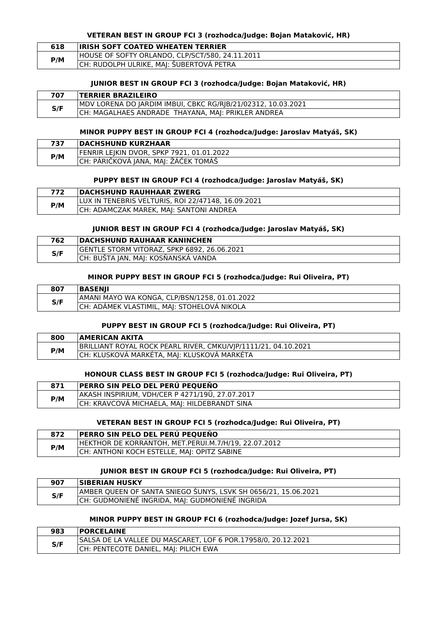#### **VETERAN BEST IN GROUP FCI 3 (rozhodca/Judge: Bojan Mataković, HR)**

| 618 | <b>IRISH SOFT COATED WHEATEN TERRIER</b>        |
|-----|-------------------------------------------------|
| P/M | HOUSE OF SOFTY ORLANDO, CLP/SCT/580, 24.11.2011 |
|     | CH: RUDOLPH ULRIKE, MAJ: ŠUBERTOVÁ PETRA        |

#### **JUNIOR BEST IN GROUP FCI 3 (rozhodca/Judge: Bojan Mataković, HR)**

| 707 | <b>TERRIER BRAZILEIRO</b>                                    |
|-----|--------------------------------------------------------------|
|     | MDV LORENA DO JARDIM IMBUI, CBKC RG/RJB/21/02312, 10.03.2021 |
| S/F | CH: MAGALHAES ANDRADE THAYANA, MAJ: PRIKLER ANDREA           |

#### **MINOR PUPPY BEST IN GROUP FCI 4 (rozhodca/Judge: Jaroslav Matyáš, SK)**

| 737 | <b>DACHSHUND KURZHAAR</b>                 |
|-----|-------------------------------------------|
| P/M | FENRIR LEIKIN DVOR. SPKP 7921. 01.01.2022 |
|     | CH: PÁRIČKOVÁ JANA, MAJ: ŽÁČEK TOMÁŠ      |

### **PUPPY BEST IN GROUP FCI 4 (rozhodca/Judge: Jaroslav Matyáš, SK)**

| LUX IN TENEBRIS VELTURIS, ROI 22/47148, 16.09.2021<br>P/M | 772 | <b>IDACHSHUND RAUHHAAR ZWERG</b>        |
|-----------------------------------------------------------|-----|-----------------------------------------|
|                                                           |     |                                         |
|                                                           |     | CH: ADAMCZAK MAREK, MAJ: SANTONI ANDREA |

#### **JUNIOR BEST IN GROUP FCI 4 (rozhodca/Judge: Jaroslav Matyáš, SK)**

| 762 | <b>DACHSHUND RAUHAAR KANINCHEN</b>          |
|-----|---------------------------------------------|
| S/F | GENTLE STORM VITORAZ, SPKP 6892, 26.06.2021 |
|     | ICH: BUSTA IAN. MAI: KOSŇANSKÁ VANDA        |

#### **MINOR PUPPY BEST IN GROUP FCI 5 (rozhodca/Judge: Rui Oliveira, PT)**

| 807 | <b>BASENII</b>                                |
|-----|-----------------------------------------------|
| S/F | AMANI MAYO WA KONGA, CLP/BSN/1258, 01.01.2022 |
|     | CH: ADAMEK VLASTIMIL, MAJ: STOHELOVA NIKOLA   |

### **PUPPY BEST IN GROUP FCI 5 (rozhodca/Judge: Rui Oliveira, PT)**

| 800 | <b>AMERICAN AKITA</b>                                          |
|-----|----------------------------------------------------------------|
| P/M | BRILLIANT ROYAL ROCK PEARL RIVER, CMKU/VJP/1111/21, 04.10.2021 |
|     | CH: KLUSKOVÁ MARKÉTA, MAJ: KLUSKOVÁ MARKÉTA                    |

### **HONOUR CLASS BEST IN GROUP FCI 5 (rozhodca/Judge: Rui Oliveira, PT)**

| 871 | <b>PERRO SIN PELO DEL PERÚ PEQUEŇO</b>          |
|-----|-------------------------------------------------|
| P/M | AKASH INSPIRIUM, VDH/CER P 4271/19Ü, 27.07.2017 |
|     | CH: KRAVCOVÁ MICHAELA, MAJ: HILDEBRANDT SINA    |

#### **VETERAN BEST IN GROUP FCI 5 (rozhodca/Judge: Rui Oliveira, PT)**

| 872 | <b>PERRO SIN PELO DEL PERU PEQUENO</b>               |
|-----|------------------------------------------------------|
| P/M | HEKTHOR DE KORRANTOH, MET.PERUI.M.7/H/19, 22.07.2012 |
|     | CH: ANTHONI KOCH ESTELLE, MAJ: OPITZ SABINE          |

### **JUNIOR BEST IN GROUP FCI 5 (rozhodca/Judge: Rui Oliveira, PT)**

| 907 | <b>SIBERIAN HUSKY</b>                                          |
|-----|----------------------------------------------------------------|
| S/F | AMBER QUEEN OF SANTA SNIEGO SUNYS, LSVK SH 0656/21, 15.06.2021 |
|     | CH: GUDMONIENÉ INGRIDA, MAJ: GUDMONIENÉ INGRIDA                |

### **MINOR PUPPY BEST IN GROUP FCI 6 (rozhodca/Judge: Jozef Jursa, SK)**

| 983 | <b>PORCELAINE</b>                                             |
|-----|---------------------------------------------------------------|
| S/F | SALSA DE LA VALLEE DU MASCARET, LOF 6 POR.17958/0, 20.12.2021 |
|     | CH: PENTECOTE DANIEL, MAJ: PILICH EWA                         |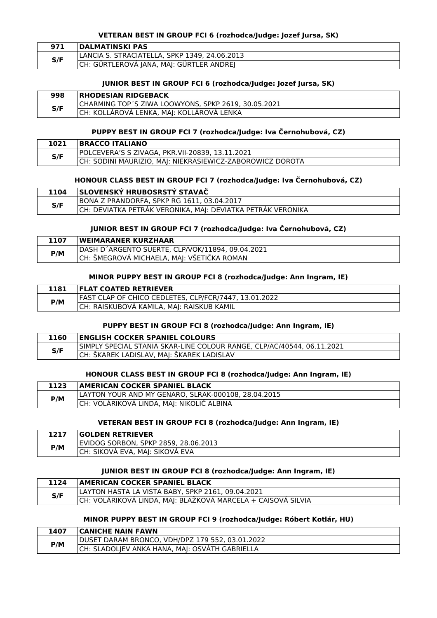### **VETERAN BEST IN GROUP FCI 6 (rozhodca/Judge: Jozef Jursa, SK)**

| 971 | <b>DALMATINSKI PAS</b>                        |
|-----|-----------------------------------------------|
| S/F | LANCIA S. STRACIATELLA, SPKP 1349, 24.06.2013 |
|     | CH: GÜRTLEROVÁ JANA, MAJ: GÜRTLER ANDREJ      |

### **JUNIOR BEST IN GROUP FCI 6 (rozhodca/Judge: Jozef Jursa, SK)**

| 998 | <b>IRHODESIAN RIDGEBACK</b>                         |
|-----|-----------------------------------------------------|
| S/F | CHARMING TOP'S ZIWA LOOWYONS, SPKP 2619, 30.05.2021 |
|     | CH: KOLLÁROVÁ LENKA, MAJ: KOLLAROVA LENKA           |

### **PUPPY BEST IN GROUP FCI 7 (rozhodca/Judge: Iva Černohubová, CZ)**

| 1021 | <b>BRACCO ITALIANO</b>                                    |
|------|-----------------------------------------------------------|
| S/F  | POLCEVERA'S S ZIVAGA. PKR.VII-20839. 13.11.2021           |
|      | CH: SODINI MAURIZIO, MAJ: NIEKRASIEWICZ-ZABOROWICZ DOROTA |

### **HONOUR CLASS BEST IN GROUP FCI 7 (rozhodca/Judge: Iva Černohubová, CZ)**

| 1104 | <b>SLOVENSKÝ HRUBOSRSTÝ STAVAČ</b>                          |
|------|-------------------------------------------------------------|
| S/F  | BONA Z PRANDORFA, SPKP RG 1611, 03.04.2017                  |
|      | CH: DEVIATKA PETRAK VERONIKA, MAJ: DEVIATKA PETRAK VERONIKA |

### **JUNIOR BEST IN GROUP FCI 7 (rozhodca/Judge: Iva Černohubová, CZ)**

| <b>1107</b> | <b>WEIMARANER KURZHAAR</b>                        |
|-------------|---------------------------------------------------|
| P/M         | IDASH D'ARGENTO SUERTE, CLP/VOK/11894, 09.04.2021 |
|             | : ŠMEGROVÁ MICHAELA, MAJ: VŠETIČKA ROMAN          |

### **MINOR PUPPY BEST IN GROUP FCI 8 (rozhodca/Judge: Ann Ingram, IE)**

| 1181 | <b>FLAT COATED RETRIEVER</b>                          |
|------|-------------------------------------------------------|
| P/M  | FAST CLAP OF CHICO CEDLETES, CLP/FCR/7447, 13.01.2022 |
|      | CH: RAISKUBOVA KAMILA, MAI: RAISKUB KAMIL             |

### **PUPPY BEST IN GROUP FCI 8 (rozhodca/Judge: Ann Ingram, IE)**

| 1160 | <b>ENGLISH COCKER SPANIEL COLOURS</b>                                  |
|------|------------------------------------------------------------------------|
| S/F  | SIMPLY SPECIAL STANIA SKAR-LINE COLOUR RANGE, CLP/AC/40544, 06.11.2021 |
|      | CH: ŠKAREK LADISLAV, MAJ: ŠKAREK LADISLAV                              |

### **HONOUR CLASS BEST IN GROUP FCI 8 (rozhodca/Judge: Ann Ingram, IE)**

| 1123 | <b>AMERICAN COCKER SPANIEL BLACK</b>                |
|------|-----------------------------------------------------|
| P/M  | LAYTON YOUR AND MY GENARO, SLRAK-000108, 28.04.2015 |
|      | CH: VOLÁRIKOVÁ LINDA, MAJ: NIKOLIČ ALBINA           |

### **VETERAN BEST IN GROUP FCI 8 (rozhodca/Judge: Ann Ingram, IE)**

| 1217 | <b>GOLDEN RETRIEVER</b>              |
|------|--------------------------------------|
| P/M  | EVIDOG SORBON, SPKP 2859, 28.06.2013 |
|      | CH: SIKOVA EVA, MAJ: SIKOVÁ EVA      |

### **JUNIOR BEST IN GROUP FCI 8 (rozhodca/Judge: Ann Ingram, IE)**

| 1124 | <b>AMERICAN COCKER SPANIEL BLACK</b>                         |
|------|--------------------------------------------------------------|
| S/F  | LAYTON HASTA LA VISTA BABY, SPKP 2161, 09.04.2021            |
|      | CH: VOLÁRIKOVÁ LINDA, MAJ: BLAŽKOVÁ MARCELA + CAISOVÁ SILVIA |

### **MINOR PUPPY BEST IN GROUP FCI 9 (rozhodca/Judge: Róbert Kotlár, HU)**

| 1407 | <b>CANICHE NAIN FAWN</b>                        |
|------|-------------------------------------------------|
| P/M  | DUSET DARAM BRONCO, VDH/DPZ 179 552, 03.01.2022 |
|      | CH: SLADOLJEV ANKA HANA, MAJ: OSVATH GABRIELLA  |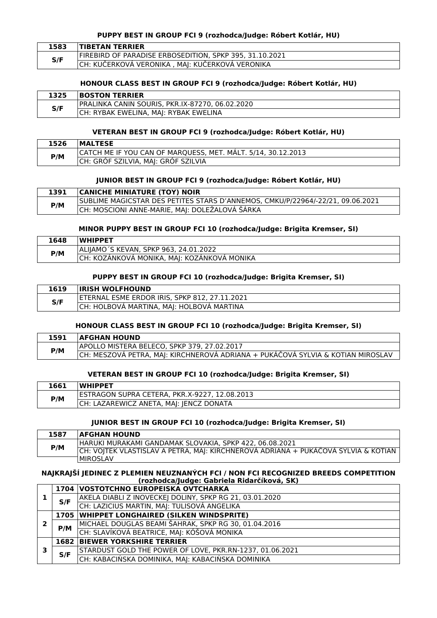### **PUPPY BEST IN GROUP FCI 9 (rozhodca/Judge: Róbert Kotlár, HU)**

| 1583 | <b>TIBETAN TERRIER</b>                                  |
|------|---------------------------------------------------------|
| S/F  | FIREBIRD OF PARADISE ERBOSEDITION, SPKP 395, 31.10.2021 |
|      | CH: KUČERKOVÁ VERONIKA , MAJ: KUČERKOVÁ VERONIKA        |

### **HONOUR CLASS BEST IN GROUP FCI 9 (rozhodca/Judge: Róbert Kotlár, HU)**

| 1325 | <b>BOSTON TERRIER</b>                           |
|------|-------------------------------------------------|
| S/F  | PRALINKA CANIN SOURIS, PKR.IX-87270, 06.02.2020 |
|      | CH: RYBAK EWELINA, MAJ: RYBAK EWELINA           |

### **VETERAN BEST IN GROUP FCI 9 (rozhodca/Judge: Róbert Kotlár, HU)**

| 1526 | <b>IMALTESE</b>                                              |
|------|--------------------------------------------------------------|
| P/M  | CATCH ME IF YOU CAN OF MARQUESS, MET. MALT. 5/14, 30.12.2013 |
|      | CH: GRÓF SZILVIA, MAJ: GRÓF SZILVIA                          |

### **JUNIOR BEST IN GROUP FCI 9 (rozhodca/Judge: Róbert Kotlár, HU)**

| 1391 | <b>CANICHE MINIATURE (TOY) NOIR</b>                                            |
|------|--------------------------------------------------------------------------------|
| P/M  | SUBLIME MAGICSTAR DES PETITES STARS D'ANNEMOS, CMKU/P/22964/-22/21, 09.06.2021 |
|      | CH: MOSCIONI ANNE-MARIE, MAJ: DOLEŽALOVÁ ŠÁRKA                                 |

#### **MINOR PUPPY BEST IN GROUP FCI 10 (rozhodca/Judge: Brigita Kremser, SI)**

| 1648 | <b>WHIPPET</b>                              |
|------|---------------------------------------------|
| P/M  | ALIJAMO'S KEVAN, SPKP 963, 24.01.2022       |
|      | CH: KOZÁNKOVÁ MONIKA, MAJ: KOZÁNKOVÁ MONIKA |

### **PUPPY BEST IN GROUP FCI 10 (rozhodca/Judge: Brigita Kremser, SI)**

| 1619 | <b>IRISH WOLFHOUND</b>                        |
|------|-----------------------------------------------|
| S/F  | ETERNAL ESME ERDOR IRIS, SPKP 812, 27.11.2021 |
|      | CH: HOLBOVA MARTINA, MAJ: HOLBOVA MARTINA     |

### **HONOUR CLASS BEST IN GROUP FCI 10 (rozhodca/Judge: Brigita Kremser, SI)**

| 1591 | <b>AFGHAN HOUND</b>                                                             |
|------|---------------------------------------------------------------------------------|
| P/M  | APOLLO MISTERA BELECO, SPKP 379, 27.02.2017                                     |
|      | CH: MESZOVÁ PETRA, MAJ: KIRCHNEROVÁ ADRIANA + PUKÁČOVÁ SYLVIA & KOTIAN MIROSLAV |

### **VETERAN BEST IN GROUP FCI 10 (rozhodca/Judge: Brigita Kremser, SI)**

| 1661 | <b>WHIPPET</b>                                |
|------|-----------------------------------------------|
| P/M  | ESTRAGON SUPRA CETERA, PKR.X-9227, 12.08.2013 |
|      | CH: LAZAREWICZ ANETA, MAJ: JENCZ DONATA       |

#### **JUNIOR BEST IN GROUP FCI 10 (rozhodca/Judge: Brigita Kremser, SI)**

| 1587 | <b>AFGHAN HOUND</b>                                                                |
|------|------------------------------------------------------------------------------------|
| P/M  | HARUKI MURAKAMI GANDAMAK SLOVAKIA, SPKP 422, 06.08.2021                            |
|      | CH: VOJTEK VLASTISLAV A PETRA, MAJ: KIRCHNEROVA ADRIANA + PUKACOVA SYLVIA & KOTIAN |
|      | <b>IMIROSLAV</b>                                                                   |

### **NAJKRAJŠÍ JEDINEC Z PLEMIEN NEUZNANÝCH FCI / NON FCI RECOGNIZED BREEDS COMPETITION (rozhodca/Judge: Gabriela Ridarčíková, SK)**

|   |     | 1704   VOSTOTCHNO EUROPEISKA OVTCHARKA                   |
|---|-----|----------------------------------------------------------|
|   | S/F | AKELA DIABLI Z INOVECKEJ DOLINY, SPKP RG 21, 03.01.2020  |
|   |     | CH: LAZICIUS MARTIN, MAJ: TULISOVÁ ANGELIKA              |
|   |     | 1705   WHIPPET LONGHAIRED (SILKEN WINDSPRITE)            |
|   | P/M | MICHAEL DOUGLAS BEAMI ŠAHRAK, SPKP RG 30, 01.04.2016     |
|   |     | CH: SLAVÍKOVÁ BEATRICE, MAJ: KÓŠOVÁ MONIKA               |
|   |     | <b>1682 BIEWER YORKSHIRE TERRIER</b>                     |
| 3 | S/F | STARDUST GOLD THE POWER OF LOVE, PKR.RN-1237, 01.06.2021 |
|   |     | CH: KABACIŃSKA DOMINIKA, MAJ: KABACIŃSKA DOMINIKA        |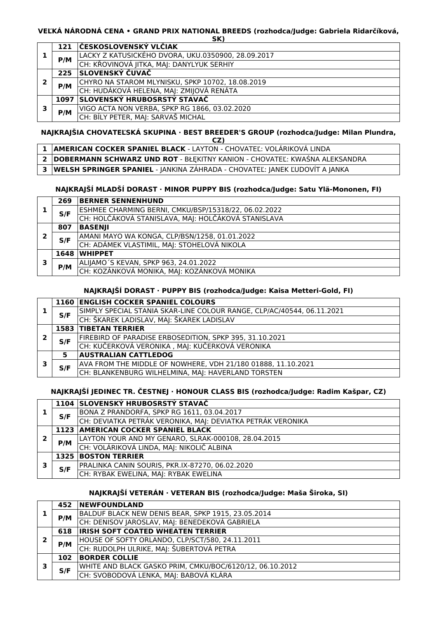#### **VEĽKÁ NÁRODNÁ CENA • GRAND PRIX NATIONAL BREEDS (rozhodca/Judge: Gabriela Ridarčíková, SK)**

|   | $\cdots$ |                                                    |  |
|---|----------|----------------------------------------------------|--|
|   |          | 121 ČESKOSLOVENSKÝ VLČIAK                          |  |
|   | P/M      | LACKY Z KATUSICKÉHO DVORA, UKU.0350900, 28.09.2017 |  |
|   |          | CH: KŘOVINOVÁ JITKA, MAJ: DANYLYUK SERHIY          |  |
|   | 225      | SLOVENSKÝ ČUVAČ                                    |  |
| 2 | P/M      | CHYRO NA STAROM MLYNISKU, SPKP 10702, 18.08.2019   |  |
|   |          | CH: HUDÁKOVÁ HELENA, MAJ: ZMIJOVÁ RENÁTA           |  |
|   | 1097     | SLOVENSKÝ HRUBOSRSTÝ STAVAČ                        |  |
| 3 | P/M      | VIGO ACTA NON VERBA, SPKP RG 1866, 03.02.2020      |  |
|   |          | CH: BÍLY PETER, MAJ: SARVAŠ MICHAL                 |  |

#### **NAJKRAJŠIA CHOVATEĽSKÁ SKUPINA · BEST BREEDER'S GROUP (rozhodca/Judge: Milan Plundra, CZ)**

| --                                                                           |
|------------------------------------------------------------------------------|
| 1   AMERICAN COCKER SPANIEL BLACK - LAYTON - CHOVATEĽ: VOLÁRIKOVÁ LINDA      |
| 2 DOBERMANN SCHWARZ UND ROT - BŁĘKITNY KANION - CHOVATEĽ: KWAŚNA ALEKSANDRA  |
| 3 WELSH SPRINGER SPANIEL - JANKINA ZÁHRADA - CHOVATEĽ: JANEK ĽUDOVÍT A JANKA |

### **NAJKRAJŠÍ MLADŠÍ DORAST · MINOR PUPPY BIS (rozhodca/Judge: Satu Ylä-Mononen, FI)**

|   | 269  | <b>BERNER SENNENHUND</b>                             |
|---|------|------------------------------------------------------|
|   | S/F  | ESHMEE CHARMING BERNI, CMKU/BSP/15318/22, 06.02.2022 |
|   |      | CH: HOLČÁKOVÁ STANISLAVA, MAJ: HOLČÁKOVÁ STANISLAVA  |
| 2 | 807  | <b>BASENJI</b>                                       |
|   | S/F  | AMANI MAYO WA KONGA, CLP/BSN/1258, 01.01.2022        |
|   |      | CH: ADÁMEK VLASTIMIL, MAJ: STOHELOVÁ NIKOLA          |
| 3 | 1648 | <b>WHIPPET</b>                                       |
|   | P/M  | ALIJAMO'S KEVAN, SPKP 963, 24.01.2022                |
|   |      | CH: KOZÁNKOVÁ MONIKA, MAJ: KOZÁNKOVÁ MONIKA          |

### **NAJKRAJŠÍ DORAST · PUPPY BIS (rozhodca/Judge: Kaisa Metteri-Gold, FI)**

|   |     | <b>1160 ENGLISH COCKER SPANIEL COLOURS</b>                             |
|---|-----|------------------------------------------------------------------------|
|   | S/F | SIMPLY SPECIAL STANIA SKAR-LINE COLOUR RANGE. CLP/AC/40544. 06.11.2021 |
|   |     | CH: ŠKAREK LADISLAV, MAJ: ŠKAREK LADISLAV                              |
| 2 |     | <b>1583 TIBETAN TERRIER</b>                                            |
|   | S/F | FIREBIRD OF PARADISE ERBOSEDITION, SPKP 395, 31.10.2021                |
|   |     | CH: KUČERKOVÁ VERONIKA, MAJ: KUČERKOVÁ VERONIKA                        |
|   | 5   | <b>AUSTRALIAN CATTLEDOG</b>                                            |
|   | S/F | AVA FROM THE MIDDLE OF NOWHERE, VDH 21/180 01888, 11.10.2021           |
|   |     | CH: BLANKENBURG WILHELMINA, MAJ: HAVERLAND TORSTEN                     |

### **NAJKRAJŠÍ JEDINEC TR. ČESTNEJ · HONOUR CLASS BIS (rozhodca/Judge: Radim Kašpar, CZ)**

|   |     | 1104 SLOVENSKÝ HRUBOSRSTÝ STAVAČ                            |
|---|-----|-------------------------------------------------------------|
|   | S/F | BONA Z PRANDORFA, SPKP RG 1611, 03.04.2017                  |
|   |     | CH: DEVIATKA PETRÁK VERONIKA, MAJ: DEVIATKA PETRÁK VERONIKA |
| 2 |     | 1123 AMERICAN COCKER SPANIEL BLACK                          |
|   | P/M | LAYTON YOUR AND MY GENARO, SLRAK-000108, 28.04.2015         |
|   |     | CH: VOLÁRIKOVÁ LINDA, MAJ: NIKOLIČ ALBINA                   |
| З |     | <b>1325 BOSTON TERRIER</b>                                  |
|   | S/F | PRALINKA CANIN SOURIS, PKR.IX-87270, 06.02.2020             |
|   |     | CH: RYBAK EWELINA, MAJ: RYBAK EWELINA                       |

# **NAJKRAJŠÍ VETERÁN · VETERAN BIS (rozhodca/Judge: Maša Široka, SI)**

| 452 | <b>NEWFOUNDLAND</b>                                      |
|-----|----------------------------------------------------------|
| P/M | BALDUF BLACK NEW DENIS BEAR, SPKP 1915, 23.05.2014       |
|     | CH: DENISOV JAROSLAV, MAJ: BENEDEKOVÁ GABRIELA           |
| 618 | <b>IRISH SOFT COATED WHEATEN TERRIER</b>                 |
| P/M | HOUSE OF SOFTY ORLANDO, CLP/SCT/580, 24.11.2011          |
|     | CH: RUDOLPH ULRIKE, MAJ: ŠUBERTOVÁ PETRA                 |
| 102 | <b>BORDER COLLIE</b>                                     |
| S/F | WHITE AND BLACK GASKO PRIM, CMKU/BOC/6120/12, 06.10.2012 |
|     | CH: SVOBODOVÁ LENKA, MAJ: BABOVÁ KLÁRA                   |
|     |                                                          |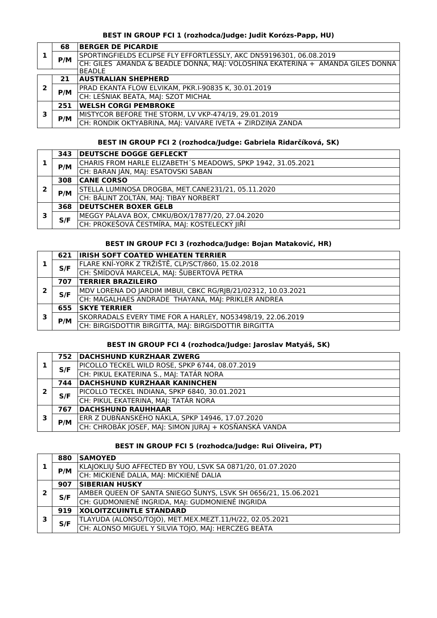### **BEST IN GROUP FCI 1 (rozhodca/Judge: Judit Korózs-Papp, HU)**

|               | 68  | <b>BERGER DE PICARDIE</b>                                                      |
|---------------|-----|--------------------------------------------------------------------------------|
|               |     | SPORTINGFIELDS ECLIPSE FLY EFFORTLESSLY, AKC DN59196301, 06.08.2019            |
|               | P/M | CH: GILES AMANDA & BEADLE DONNA, MAJ: VOLOSHINA EKATERINA + AMANDA GILES DONNA |
| <b>BEADLE</b> |     |                                                                                |
|               | 21  | <b>AUSTRALIAN SHEPHERD</b>                                                     |
| 2             | P/M | PRAD EKANTA FLOW ELVIKAM, PKR.I-90835 K, 30.01.2019                            |
|               |     | CH: LEŚNIAK BEATA, MAJ: SZOT MICHAŁ                                            |
|               | 251 | <b>WELSH CORGI PEMBROKE</b>                                                    |
| 3             | P/M | MISTYCOR BEFORE THE STORM, LV VKP-474/19, 29.01.2019                           |
|               |     | CH: RONDIK OKTYABRINA, MAJ: VAIVARE IVETA + ZIRDZINA ZANDA                     |

## **BEST IN GROUP FCI 2 (rozhodca/Judge: Gabriela Ridarčíková, SK)**

|   | 343 | <b>DEUTSCHE DOGGE GEFLECKT</b>                               |
|---|-----|--------------------------------------------------------------|
|   | P/M | CHARIS FROM HARLE ELIZABETH'S MEADOWS, SPKP 1942, 31.05.2021 |
|   |     | CH: BARAN JÁN, MAJ: ESATOVSKI SABAN                          |
|   | 308 | <b>CANE CORSO</b>                                            |
| 2 | P/M | STELLA LUMINOSA DROGBA, MET.CANE231/21, 05.11.2020           |
|   |     | CH: BÁLINT ZOLTÁN, MAJ: TIBAY NORBERT                        |
|   | 368 | <b>DEUTSCHER BOXER GELB</b>                                  |
| 3 | S/F | MEGGY PÁLAVA BOX, CMKU/BOX/17877/20, 27.04.2020              |
|   |     | CH: PROKEŠOVÁ ČESTMÍRA, MAJ: KOSTELECKÝ JIŘÍ                 |

### **BEST IN GROUP FCI 3 (rozhodca/Judge: Bojan Mataković, HR)**

|    | 621 | <b>IRISH SOFT COATED WHEATEN TERRIER</b>                     |
|----|-----|--------------------------------------------------------------|
|    | S/F | FLARE KNÍ-YORK Z TRŽIŠTĚ, CLP/SCT/860, 15.02.2018            |
|    |     | CH: ŠMÍDOVÁ MARCELA, MAJ: ŠUBERTOVÁ PETRA                    |
|    | 707 | <b>TERRIER BRAZILEIRO</b>                                    |
| כי |     | MDV LORENA DO JARDIM IMBUI, CBKC RG/RJB/21/02312, 10.03.2021 |
|    | S/F | CH: MAGALHAES ANDRADE THAYANA, MAJ: PRIKLER ANDREA           |
|    | 655 | <b>SKYE TERRIER</b>                                          |
| э  | P/M | SKORRADALS EVERY TIME FOR A HARLEY, NO53498/19, 22.06.2019   |
|    |     | CH: BIRGISDOTTIR BIRGITTA, MAJ: BIRGISDOTTIR BIRGITTA        |

### **BEST IN GROUP FCI 4 (rozhodca/Judge: Jaroslav Matyáš, SK)**

|              | 752 | <b>DACHSHUND KURZHAAR ZWERG</b>                       |
|--------------|-----|-------------------------------------------------------|
|              | S/F | PICOLLO TECKEL WILD ROSE, SPKP 6744, 08.07.2019       |
|              |     | CH: PIKUL EKATERINA S., MAJ: TATÁR NORA               |
|              | 744 | <b>DACHSHUND KURZHAAR KANINCHEN</b>                   |
| $\mathbf{2}$ | S/F | PICOLLO TECKEL INDIANA, SPKP 6840, 30.01.2021         |
|              |     | CH: PIKUL EKATERINA, MAJ: TATÁR NORA                  |
|              | 767 | <b>DACHSHUND RAUHHAAR</b>                             |
| 3            | P/M | ERR Z DUBŇANSKÉHO NÁKLA, SPKP 14946, 17.07.2020       |
|              |     | CH: CHROBÁK JOSEF, MAJ: SIMON JURAJ + KOSŇANSKÁ VANDA |

### **BEST IN GROUP FCI 5 (rozhodca/Judge: Rui Oliveira, PT)**

|   | 880 | <b>SAMOYED</b>                                                 |
|---|-----|----------------------------------------------------------------|
|   | P/M | KLAJOKLIŲ ŠUO AFFECTED BY YOU, LSVK SA 0871/20, 01.07.2020     |
|   |     | CH: MICKIENÉ DALIA, MAJ: MICKIENÉ DALIA                        |
|   | 907 | <b>SIBERIAN HUSKY</b>                                          |
|   | S/F | AMBER QUEEN OF SANTA SNIEGO ŠUNYS, LSVK SH 0656/21, 15.06.2021 |
|   |     | CH: GUDMONIENÉ INGRIDA, MAJ: GUDMONIENÉ INGRIDA                |
|   | 919 | <b>XOLOITZCUINTLE STANDARD</b>                                 |
| з | S/F | TLAYUDA (ALONSO/TOJO), MET.MEX.MEZT.11/H/22, 02.05.2021        |
|   |     | CH: ALONSO MIGUEL Y SILVIA TOJO, MAJ: HERCZEG BEÁTA            |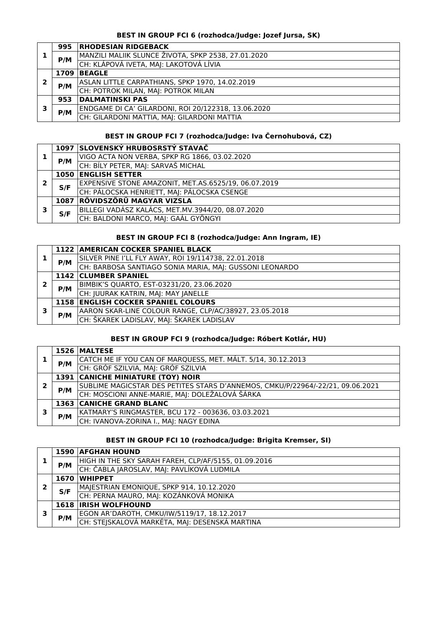### **BEST IN GROUP FCI 6 (rozhodca/Judge: Jozef Jursa, SK)**

|   | 995 | <b>RHODESIAN RIDGEBACK</b>                          |
|---|-----|-----------------------------------------------------|
|   | P/M | MANZILI MALIIK SLUNCE ŽIVOTA, SPKP 2538, 27.01.2020 |
|   |     | CH: KLÁPOVÁ IVETA, MAJ: LAKOTOVÁ LÍVIA              |
|   |     | 1709 BEAGLE                                         |
| 2 | P/M | ASLAN LITTLE CARPATHIANS, SPKP 1970, 14.02.2019     |
|   |     | CH: POTROK MILAN, MAJ: POTROK MILAN                 |
|   | 953 | <b>DALMATINSKI PAS</b>                              |
| э | P/M | ENDGAME DI CA' GILARDONI, ROI 20/122318, 13.06.2020 |
|   |     | CH: GILARDONI MATTIA, MAJ: GILARDONI MATTIA         |

### **BEST IN GROUP FCI 7 (rozhodca/Judge: Iva Černohubová, CZ)**

|   |     | 1097 SLOVENSKÝ HRUBOSRSTÝ STAVAČ                     |
|---|-----|------------------------------------------------------|
|   | P/M | VIGO ACTA NON VERBA, SPKP RG 1866, 03.02.2020        |
|   |     | CH: BÍLY PETER, MAJ: SARVAŠ MICHAL                   |
|   |     | <b>1050 ENGLISH SETTER</b>                           |
| 7 | S/F | EXPENSIVE STONE AMAZONIT, MET.AS.6525/19, 06.07.2019 |
|   |     | CH: PÁLOCSKA HENRIETT, MAJ: PÁLOCSKA CSENGE          |
|   |     | 1087 RÖVIDSZÖRÜ MAGYAR VIZSLA                        |
| , | S/F | BILLEGI VADÁSZ KALÁCS, MET.MV.3944/20, 08.07.2020    |
|   |     | CH: BALDONI MARCO, MAJ: GAÁL GYÖNGYI                 |

## **BEST IN GROUP FCI 8 (rozhodca/Judge: Ann Ingram, IE)**

|   |     | 1122 AMERICAN COCKER SPANIEL BLACK                      |
|---|-----|---------------------------------------------------------|
|   | P/M | SILVER PINE I'LL FLY AWAY, ROI 19/114738, 22.01.2018    |
|   |     | CH: BARBOSA SANTIAGO SONIA MARIA, MAJ: GUSSONI LEONARDO |
|   |     | 1142 CLUMBER SPANIEL                                    |
| າ | P/M | BIMBIK'S QUARTO, EST-03231/20, 23.06.2020               |
|   |     | CH: JUURAK KATRIN, MAJ: MAY JANELLE                     |
|   |     | <b>1158 ENGLISH COCKER SPANIEL COLOURS</b>              |
| 3 | P/M | AARON SKAR-LINE COLOUR RANGE, CLP/AC/38927, 23.05.2018  |
|   |     | CH: ŠKAREK LADISLAV, MAJ: ŠKAREK LADISLAV               |

### **BEST IN GROUP FCI 9 (rozhodca/Judge: Róbert Kotlár, HU)**

|   |     | 1526 MALTESE                                                                   |
|---|-----|--------------------------------------------------------------------------------|
|   | P/M | CATCH ME IF YOU CAN OF MARQUESS, MET. MÁLT. 5/14, 30.12.2013                   |
|   |     | CH: GRÓF SZILVIA, MAJ: GRÓF SZILVIA                                            |
|   |     | <b>1391 CANICHE MINIATURE (TOY) NOIR</b>                                       |
|   | P/M | SUBLIME MAGICSTAR DES PETITES STARS D'ANNEMOS, CMKU/P/22964/-22/21, 09.06.2021 |
|   |     | CH: MOSCIONI ANNE-MARIE, MAJ: DOLEŽALOVÁ ŠÁRKA                                 |
|   |     | <b>1363 CANICHE GRAND BLANC</b>                                                |
| 3 | P/M | KATMARY'S RINGMASTER, BCU 172 - 003636, 03.03.2021                             |
|   |     | CH: IVANOVA-ZORINA I., MAJ: NAGY EDINA                                         |

## **BEST IN GROUP FCI 10 (rozhodca/Judge: Brigita Kremser, SI)**

|   |             | <b>1590 AFGHAN HOUND</b>                             |
|---|-------------|------------------------------------------------------|
|   | P/M         | HIGH IN THE SKY SARAH FAREH, CLP/AF/5155, 01.09.2016 |
|   |             | CH: ČABLA JAROSLAV, MAJ: PAVLÍKOVÁ LUDMILA           |
|   | 1670        | <b>WHIPPET</b>                                       |
| 2 | S/F         | MAJESTRIAN EMONIQUE, SPKP 914, 10.12.2020            |
|   |             | CH: PERNA MAURO, MAJ: KOZÁNKOVÁ MONIKA               |
|   | <b>1618</b> | <b>IRISH WOLFHOUND</b>                               |
| з |             | EGON AR'DAROTH, CMKU/IW/5119/17, 18.12.2017          |
|   | P/M         | CH: STEJSKALOVÁ MARKÉTA, MAJ: DESENSKÁ MARTINA       |